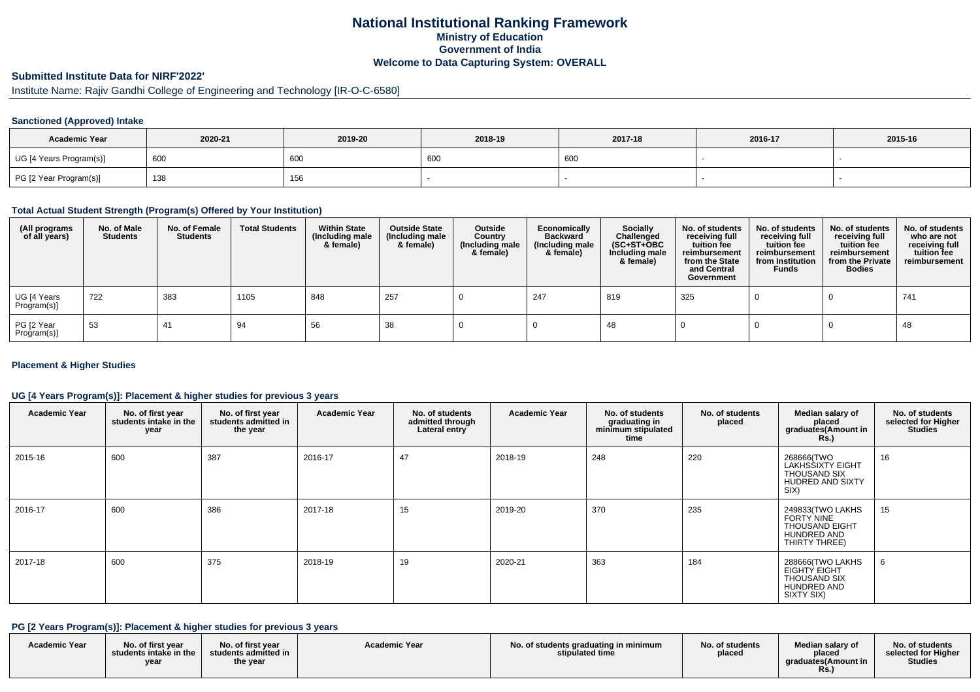## **National Institutional Ranking FrameworkMinistry of Education Government of IndiaWelcome to Data Capturing System: OVERALL**

# **Submitted Institute Data for NIRF'2022'**

# Institute Name: Rajiv Gandhi College of Engineering and Technology [IR-O-C-6580]

#### **Sanctioned (Approved) Intake**

| <b>Academic Year</b>    | 2020-21 | 2019-20 | 2018-19 | 2017-18 | 2016-17 | 2015-16 |
|-------------------------|---------|---------|---------|---------|---------|---------|
| UG [4 Years Program(s)] | 600     | 600     | 600     | 600     |         |         |
| PG [2 Year Program(s)]  | 138     | 156     |         |         |         |         |

### **Total Actual Student Strength (Program(s) Offered by Your Institution)**

| (All programs<br>of all years) | No. of Male<br><b>Students</b> | No. of Female<br><b>Students</b> | <b>Total Students</b> | <b>Within State</b><br>(Including male<br>& female) | <b>Outside State</b><br>(Including male<br>& female) | Outside<br>Country<br>(Including male<br>& female) | Economically<br><b>Backward</b><br>(Including male<br>& female) | Socially<br>Challenged<br>$(SC+ST+OBC)$<br>Including male<br>& female) | No. of students<br>receiving full<br>tuition fee<br>reimbursement<br>from the State<br>and Central<br>Government | No. of students<br>receiving full<br>tuition fee<br>reimbursement<br>from Institution<br><b>Funds</b> | No. of students<br>receiving full<br>tuition fee<br>reimbursement<br>from the Private<br><b>Bodies</b> | No. of students<br>who are not<br>receiving full<br>tuition fee<br>reimbursement |
|--------------------------------|--------------------------------|----------------------------------|-----------------------|-----------------------------------------------------|------------------------------------------------------|----------------------------------------------------|-----------------------------------------------------------------|------------------------------------------------------------------------|------------------------------------------------------------------------------------------------------------------|-------------------------------------------------------------------------------------------------------|--------------------------------------------------------------------------------------------------------|----------------------------------------------------------------------------------|
| UG [4 Years<br>Program(s)]     | 722                            | 383                              | 1105                  | 848                                                 | 257                                                  |                                                    | 247                                                             | 819                                                                    | 325                                                                                                              |                                                                                                       |                                                                                                        | 741                                                                              |
| PG [2 Year<br>Program(s)]      | -53                            | 41                               | 94                    | 56                                                  | 38                                                   |                                                    |                                                                 | 48                                                                     |                                                                                                                  |                                                                                                       |                                                                                                        | 48                                                                               |

#### **Placement & Higher Studies**

#### **UG [4 Years Program(s)]: Placement & higher studies for previous 3 years**

| <b>Academic Year</b> | No. of first year<br>students intake in the<br>year | No. of first year<br>students admitted in<br>the year | <b>Academic Year</b> | No. of students<br>admitted through<br>Lateral entry | <b>Academic Year</b> | No. of students<br>graduating in<br>minimum stipulated<br>time | No. of students<br>placed | Median salary of<br>placed<br>graduates(Amount in<br><b>Rs.)</b>                                      | No. of students<br>selected for Higher<br><b>Studies</b> |
|----------------------|-----------------------------------------------------|-------------------------------------------------------|----------------------|------------------------------------------------------|----------------------|----------------------------------------------------------------|---------------------------|-------------------------------------------------------------------------------------------------------|----------------------------------------------------------|
| 2015-16              | 600                                                 | 387                                                   | 2016-17              | 47                                                   | 2018-19              | 248                                                            | 220                       | 268666(TWO<br>LAKHSSIXTY EIGHT<br><b>THOUSAND SIX</b><br>HUDRED AND SIXTY<br>SIX)                     | 16                                                       |
| 2016-17              | 600                                                 | 386                                                   | 2017-18              | 15                                                   | 2019-20              | 370                                                            | 235                       | 249833(TWO LAKHS<br><b>FORTY NINE</b><br><b>THOUSAND EIGHT</b><br><b>HUNDRED AND</b><br>THIRTY THREE) | 15                                                       |
| 2017-18              | 600                                                 | 375                                                   | 2018-19              | 19                                                   | 2020-21              | 363                                                            | 184                       | 288666(TWO LAKHS<br>EIGHTY EIGHT<br><b>THOUSAND SIX</b><br>HUNDRED AND<br>SIXTY SIX)                  | 6                                                        |

### **PG [2 Years Program(s)]: Placement & higher studies for previous 3 years**

| <b>Academic Year</b> | No. of first vear<br>students intake in the<br>vear | No. of first year<br>students admitted in<br>the year | <b>Academic Year</b> | No. of students graduating in minimum<br>stipulated time | No. of students<br>placed | Median salary of<br>placed<br>araduates(Amount in<br>Rs. | No. of students<br>selected for Higher<br><b>Studies</b> |
|----------------------|-----------------------------------------------------|-------------------------------------------------------|----------------------|----------------------------------------------------------|---------------------------|----------------------------------------------------------|----------------------------------------------------------|
|----------------------|-----------------------------------------------------|-------------------------------------------------------|----------------------|----------------------------------------------------------|---------------------------|----------------------------------------------------------|----------------------------------------------------------|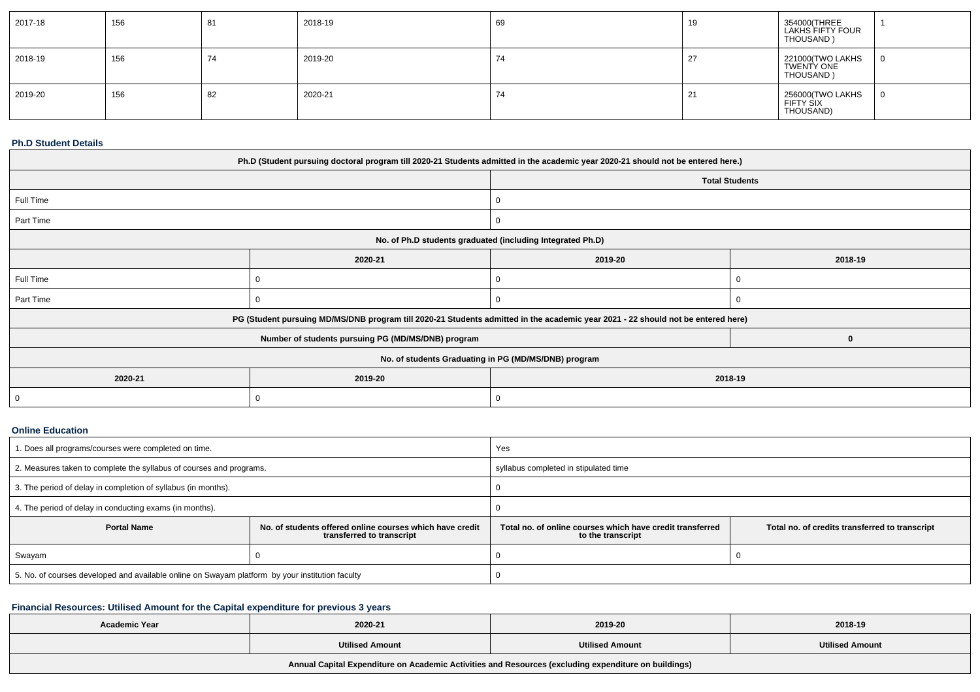| 2017-18 | 156 | 81 | 2018-19 | 69 | 19  | 354000(THREE<br>LAKHS FIFTY FOUR<br>THOUSAND) |  |
|---------|-----|----|---------|----|-----|-----------------------------------------------|--|
| 2018-19 | 156 | 74 | 2019-20 | 74 | -27 | 221000(TWO LAKHS<br>TWENTY ONE<br>THOUSAND)   |  |
| 2019-20 | 156 | 82 | 2020-21 | 74 | -21 | 256000(TWO LAKHS<br>FIFTY SIX<br>THOUSAND)    |  |

### **Ph.D Student Details**

| Ph.D (Student pursuing doctoral program till 2020-21 Students admitted in the academic year 2020-21 should not be entered here.) |                                                                                                                                  |                    |                       |  |  |  |
|----------------------------------------------------------------------------------------------------------------------------------|----------------------------------------------------------------------------------------------------------------------------------|--------------------|-----------------------|--|--|--|
|                                                                                                                                  |                                                                                                                                  |                    | <b>Total Students</b> |  |  |  |
| Full Time                                                                                                                        |                                                                                                                                  | 0                  |                       |  |  |  |
| Part Time                                                                                                                        |                                                                                                                                  | υ                  |                       |  |  |  |
|                                                                                                                                  | No. of Ph.D students graduated (including Integrated Ph.D)                                                                       |                    |                       |  |  |  |
|                                                                                                                                  | 2020-21                                                                                                                          | 2019-20<br>2018-19 |                       |  |  |  |
| Full Time                                                                                                                        |                                                                                                                                  |                    |                       |  |  |  |
| Part Time                                                                                                                        |                                                                                                                                  |                    |                       |  |  |  |
|                                                                                                                                  | PG (Student pursuing MD/MS/DNB program till 2020-21 Students admitted in the academic year 2021 - 22 should not be entered here) |                    |                       |  |  |  |
|                                                                                                                                  | Number of students pursuing PG (MD/MS/DNB) program                                                                               |                    | $\mathbf 0$           |  |  |  |
| No. of students Graduating in PG (MD/MS/DNB) program                                                                             |                                                                                                                                  |                    |                       |  |  |  |
| 2020-21                                                                                                                          | 2019-20<br>2018-19                                                                                                               |                    |                       |  |  |  |
| $\overline{0}$                                                                                                                   |                                                                                                                                  |                    |                       |  |  |  |

#### **Online Education**

| 1. Does all programs/courses were completed on time.                                                        |  | Yes                                                                            |                                                |  |  |
|-------------------------------------------------------------------------------------------------------------|--|--------------------------------------------------------------------------------|------------------------------------------------|--|--|
| 2. Measures taken to complete the syllabus of courses and programs.                                         |  | syllabus completed in stipulated time                                          |                                                |  |  |
| 3. The period of delay in completion of syllabus (in months).                                               |  |                                                                                |                                                |  |  |
| 4. The period of delay in conducting exams (in months).                                                     |  |                                                                                |                                                |  |  |
| <b>Portal Name</b><br>No. of students offered online courses which have credit<br>transferred to transcript |  | Total no, of online courses which have credit transferred<br>to the transcript | Total no. of credits transferred to transcript |  |  |
| Swayam                                                                                                      |  |                                                                                |                                                |  |  |
| 5. No. of courses developed and available online on Swayam platform by your institution faculty             |  |                                                                                |                                                |  |  |

## **Financial Resources: Utilised Amount for the Capital expenditure for previous 3 years**

| <b>Academic Year</b>                                                                                 | 2020-21                | 2019-20                | 2018-19                |  |  |  |  |
|------------------------------------------------------------------------------------------------------|------------------------|------------------------|------------------------|--|--|--|--|
|                                                                                                      | <b>Utilised Amount</b> | <b>Utilised Amount</b> | <b>Utilised Amount</b> |  |  |  |  |
| Annual Capital Expenditure on Academic Activities and Resources (excluding expenditure on buildings) |                        |                        |                        |  |  |  |  |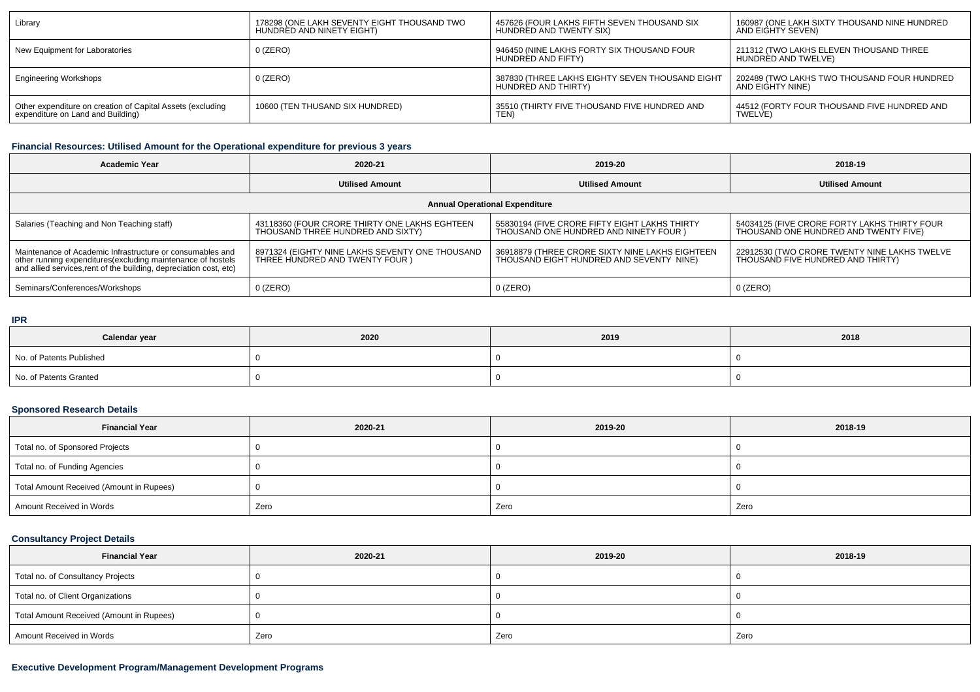| Library                                                    | 178298 (ONE LAKH SEVENTY EIGHT THOUSAND TWO | 457626 (FOUR LAKHS FIFTH SEVEN THOUSAND SIX                            | 160987 (ONE LAKH SIXTY THOUSAND NINE HUNDRED                    |
|------------------------------------------------------------|---------------------------------------------|------------------------------------------------------------------------|-----------------------------------------------------------------|
|                                                            | HUNDRÉD AND NINETY EIGHT)                   | HUNDRED AND TWENTY SIX)                                                | AND EIGHTY SEVEN)                                               |
| New Equipment for Laboratories                             | 0 (ZERO)                                    | 946450 (NINE LAKHS FORTY SIX THOUSAND FOUR<br>HUNDRED AND FIFTY)       | 211312 (TWO LAKHS ELEVEN THOUSAND THREE<br>HUNDRÉD AND TWELVE)  |
| <b>Engineering Workshops</b>                               | $0$ (ZERO)                                  | 387830 (THREE LAKHS EIGHTY SEVEN THOUSAND EIGHT<br>HUNDRED AND THIRTY) | 202489 (TWO LAKHS TWO THOUSAND FOUR HUNDRED<br>AND EIGHTY NINE) |
| Other expenditure on creation of Capital Assets (excluding | 10600 (TEN THUSAND SIX HUNDRED)             | 35510 (THIRTY FIVE THOUSAND FIVE HUNDRED AND                           | 44512 (FORTY FOUR THOUSAND FIVE HUNDRED AND                     |
| expenditure on Land and Building)                          |                                             | TEN)                                                                   | <b>TWELVE</b>                                                   |

### **Financial Resources: Utilised Amount for the Operational expenditure for previous 3 years**

| <b>Academic Year</b><br>2020-21                                                                                                                                                                |                                                                                    | 2019-20                                                                                     | 2018-19                                                                               |  |  |  |  |
|------------------------------------------------------------------------------------------------------------------------------------------------------------------------------------------------|------------------------------------------------------------------------------------|---------------------------------------------------------------------------------------------|---------------------------------------------------------------------------------------|--|--|--|--|
|                                                                                                                                                                                                | <b>Utilised Amount</b>                                                             | <b>Utilised Amount</b>                                                                      | <b>Utilised Amount</b>                                                                |  |  |  |  |
| <b>Annual Operational Expenditure</b>                                                                                                                                                          |                                                                                    |                                                                                             |                                                                                       |  |  |  |  |
| Salaries (Teaching and Non Teaching staff)                                                                                                                                                     | 43118360 (FOUR CRORE THIRTY ONE LAKHS EGHTEEN<br>THOUSAND THREE HUNDRED AND SIXTY) | 55830194 (FIVE CRORE FIFTY EIGHT LAKHS THIRTY<br>THOUSAND ONE HUNDRED AND NINETY FOUR )     | 54034125 (FIVE CRORE FORTY LAKHS THIRTY FOUR<br>THOUSAND ONE HUNDRED AND TWENTY FIVE) |  |  |  |  |
| Maintenance of Academic Infrastructure or consumables and<br>other running expenditures(excluding maintenance of hostels<br>and allied services, rent of the building, depreciation cost, etc) | 8971324 (EIGHTY NINE LAKHS SEVENTY ONE THOUSAND<br>THREE HUNDRED AND TWENTY FOUR ) | 36918879 (THREE CRORE SIXTY NINE LAKHS EIGHTEEN<br>THOUSAND EIGHT HUNDRED AND SEVENTY NINE) | 22912530 (TWO CRORE TWENTY NINE LAKHS TWELVE<br>THOUSAND FIVE HUNDRED AND THIRTY)     |  |  |  |  |
| Seminars/Conferences/Workshops                                                                                                                                                                 | $0$ (ZERO)                                                                         | $0$ (ZERO)                                                                                  | $0$ (ZERO)                                                                            |  |  |  |  |

#### **IPR**

| Calendar year            | 2020 | 2019 | 2018 |
|--------------------------|------|------|------|
| No. of Patents Published |      |      |      |
| No. of Patents Granted   |      |      |      |

### **Sponsored Research Details**

| <b>Financial Year</b>                    | 2020-21 | 2019-20 | 2018-19 |
|------------------------------------------|---------|---------|---------|
| Total no. of Sponsored Projects          |         |         |         |
| Total no. of Funding Agencies            |         |         |         |
| Total Amount Received (Amount in Rupees) |         |         |         |
| Amount Received in Words                 | Zero    | Zero    | Zero    |

### **Consultancy Project Details**

| <b>Financial Year</b>                    | 2020-21 | 2019-20 | 2018-19 |
|------------------------------------------|---------|---------|---------|
| Total no. of Consultancy Projects        |         |         |         |
| Total no. of Client Organizations        |         |         |         |
| Total Amount Received (Amount in Rupees) |         |         |         |
| Amount Received in Words                 | Zero    | Zero    | Zero    |

### **Executive Development Program/Management Development Programs**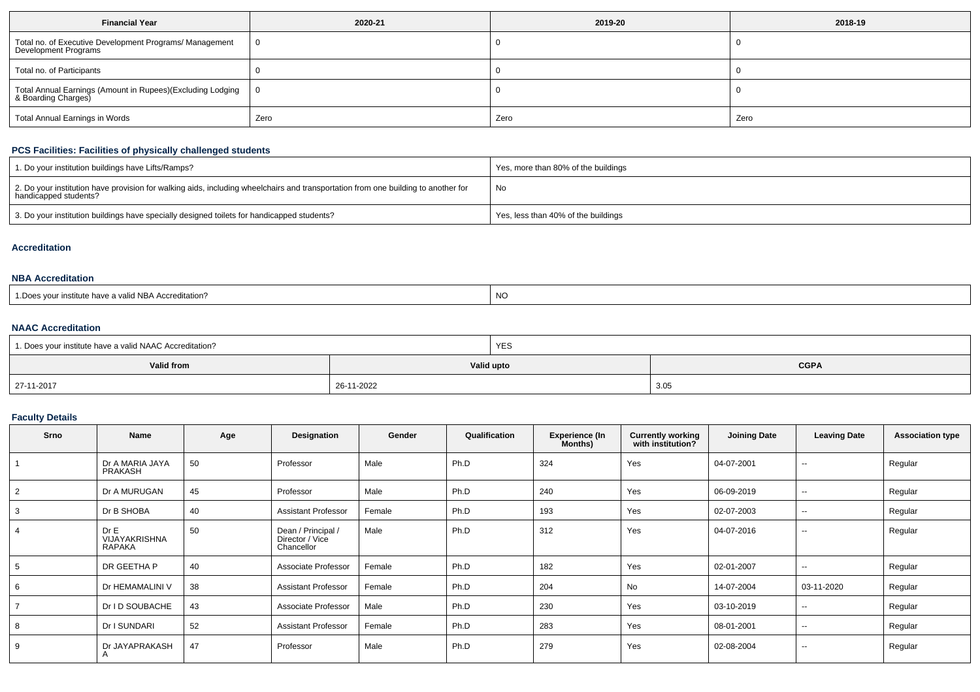| <b>Financial Year</b>                                                             | 2020-21 | 2019-20 | 2018-19 |
|-----------------------------------------------------------------------------------|---------|---------|---------|
| Total no. of Executive Development Programs/ Management<br>Development Programs   | 0       |         |         |
| Total no. of Participants                                                         |         |         |         |
| Total Annual Earnings (Amount in Rupees)(Excluding Lodging<br>& Boarding Charges) | 0       |         |         |
| Total Annual Earnings in Words                                                    | Zero    | Zero    | Zero    |

### **PCS Facilities: Facilities of physically challenged students**

| 1. Do your institution buildings have Lifts/Ramps?                                                                                                         | Yes, more than 80% of the buildings |
|------------------------------------------------------------------------------------------------------------------------------------------------------------|-------------------------------------|
| 2. Do your institution have provision for walking aids, including wheelchairs and transportation from one building to another for<br>handicapped students? | No                                  |
| 3. Do your institution buildings have specially designed toilets for handicapped students?                                                                 | Yes, less than 40% of the buildings |

#### **Accreditation**

### **NBA Accreditation**

| 1. Does vour institute have a valid NBA Accreditation?<br>NC |  |
|--------------------------------------------------------------|--|
|--------------------------------------------------------------|--|

### **NAAC Accreditation**

| 1. Does your institute have a valid NAAC Accreditation? | YES        |             |
|---------------------------------------------------------|------------|-------------|
| <b>Valid from</b>                                       | Valid upto | <b>CGPA</b> |
| 27-11-2017                                              | 26-11-2022 | 3.05        |

### **Faculty Details**

| Srno           | Name                                   | Age | Designation                                         | Gender | Qualification | <b>Experience (In</b><br>Months) | <b>Currently working</b><br>with institution? | <b>Joining Date</b> | <b>Leaving Date</b>      | <b>Association type</b> |
|----------------|----------------------------------------|-----|-----------------------------------------------------|--------|---------------|----------------------------------|-----------------------------------------------|---------------------|--------------------------|-------------------------|
|                | Dr A MARIA JAYA<br>PRAKASH             | 50  | Professor                                           | Male   | Ph.D          | 324                              | Yes                                           | 04-07-2001          | $\sim$                   | Regular                 |
| $\overline{2}$ | Dr A MURUGAN                           | 45  | Professor                                           | Male   | Ph.D          | 240                              | Yes                                           | 06-09-2019          | $\sim$                   | Regular                 |
| 3              | Dr B SHOBA                             | 40  | <b>Assistant Professor</b>                          | Female | Ph.D          | 193                              | Yes                                           | 02-07-2003          | $\sim$                   | Regular                 |
| $\overline{4}$ | Dr E<br><b>VIJAYAKRISHNA</b><br>RAPAKA | 50  | Dean / Principal /<br>Director / Vice<br>Chancellor | Male   | Ph.D          | 312                              | Yes                                           | 04-07-2016          | $\overline{\phantom{a}}$ | Regular                 |
| 5              | DR GEETHA P                            | 40  | Associate Professor                                 | Female | Ph.D          | 182                              | Yes                                           | 02-01-2007          | $\overline{\phantom{a}}$ | Regular                 |
| 6              | Dr HEMAMALINI V                        | 38  | <b>Assistant Professor</b>                          | Female | Ph.D          | 204                              | No                                            | 14-07-2004          | 03-11-2020               | Regular                 |
|                | Dr I D SOUBACHE                        | 43  | Associate Professor                                 | Male   | Ph.D          | 230                              | Yes                                           | 03-10-2019          | $\sim$                   | Regular                 |
| 8              | Dr I SUNDARI                           | 52  | <b>Assistant Professor</b>                          | Female | Ph.D          | 283                              | Yes                                           | 08-01-2001          | $\sim$                   | Regular                 |
| 9              | Dr JAYAPRAKASH                         | 47  | Professor                                           | Male   | Ph.D          | 279                              | Yes                                           | 02-08-2004          | $\sim$                   | Regular                 |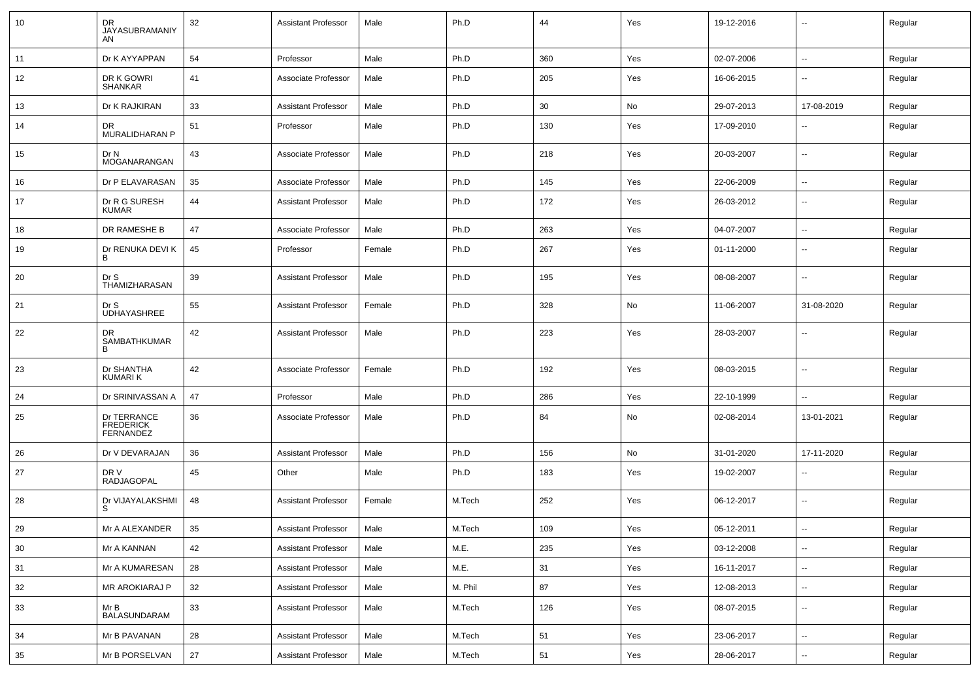| 10 | DR<br>JAYASUBRAMANIY<br>AN                   | 32 | <b>Assistant Professor</b> | Male   | Ph.D    | 44  | Yes | 19-12-2016 | $\overline{\phantom{a}}$ | Regular |
|----|----------------------------------------------|----|----------------------------|--------|---------|-----|-----|------------|--------------------------|---------|
| 11 | Dr K AYYAPPAN                                | 54 | Professor                  | Male   | Ph.D    | 360 | Yes | 02-07-2006 | $\sim$                   | Regular |
| 12 | DR K GOWRI<br><b>SHANKAR</b>                 | 41 | Associate Professor        | Male   | Ph.D    | 205 | Yes | 16-06-2015 | ⊷.                       | Regular |
| 13 | Dr K RAJKIRAN                                | 33 | <b>Assistant Professor</b> | Male   | Ph.D    | 30  | No  | 29-07-2013 | 17-08-2019               | Regular |
| 14 | DR<br>MURALIDHARAN P                         | 51 | Professor                  | Male   | Ph.D    | 130 | Yes | 17-09-2010 | $\overline{\phantom{a}}$ | Regular |
| 15 | Dr N<br>MOGANARANGAN                         | 43 | Associate Professor        | Male   | Ph.D    | 218 | Yes | 20-03-2007 | $\overline{\phantom{a}}$ | Regular |
| 16 | Dr P ELAVARASAN                              | 35 | Associate Professor        | Male   | Ph.D    | 145 | Yes | 22-06-2009 | $\overline{\phantom{a}}$ | Regular |
| 17 | Dr R G SURESH<br><b>KUMAR</b>                | 44 | <b>Assistant Professor</b> | Male   | Ph.D    | 172 | Yes | 26-03-2012 | --                       | Regular |
| 18 | DR RAMESHE B                                 | 47 | Associate Professor        | Male   | Ph.D    | 263 | Yes | 04-07-2007 | $\overline{\phantom{a}}$ | Regular |
| 19 | Dr RENUKA DEVI K<br>B                        | 45 | Professor                  | Female | Ph.D    | 267 | Yes | 01-11-2000 | --                       | Regular |
| 20 | Dr S<br>THAMIZHARASAN                        | 39 | <b>Assistant Professor</b> | Male   | Ph.D    | 195 | Yes | 08-08-2007 | --                       | Regular |
| 21 | Dr S<br><b>UDHAYASHREE</b>                   | 55 | <b>Assistant Professor</b> | Female | Ph.D    | 328 | No  | 11-06-2007 | 31-08-2020               | Regular |
| 22 | DR<br>SAMBATHKUMAR<br>B                      | 42 | <b>Assistant Professor</b> | Male   | Ph.D    | 223 | Yes | 28-03-2007 | -−                       | Regular |
| 23 | Dr SHANTHA<br><b>KUMARIK</b>                 | 42 | Associate Professor        | Female | Ph.D    | 192 | Yes | 08-03-2015 | ⊷.                       | Regular |
| 24 | Dr SRINIVASSAN A                             | 47 | Professor                  | Male   | Ph.D    | 286 | Yes | 22-10-1999 | --                       | Regular |
| 25 | Dr TERRANCE<br><b>FREDERICK</b><br>FERNANDEZ | 36 | Associate Professor        | Male   | Ph.D    | 84  | No  | 02-08-2014 | 13-01-2021               | Regular |
| 26 | Dr V DEVARAJAN                               | 36 | <b>Assistant Professor</b> | Male   | Ph.D    | 156 | No  | 31-01-2020 | 17-11-2020               | Regular |
| 27 | DR V<br>RADJAGOPAL                           | 45 | Other                      | Male   | Ph.D    | 183 | Yes | 19-02-2007 | -−                       | Regular |
| 28 | Dr VIJAYALAKSHMI<br>S.                       | 48 | <b>Assistant Professor</b> | Female | M.Tech  | 252 | Yes | 06-12-2017 | -−                       | Regular |
| 29 | Mr A ALEXANDER                               | 35 | <b>Assistant Professor</b> | Male   | M.Tech  | 109 | Yes | 05-12-2011 | --                       | Regular |
| 30 | Mr A KANNAN                                  | 42 | <b>Assistant Professor</b> | Male   | M.E.    | 235 | Yes | 03-12-2008 | $\sim$                   | Regular |
| 31 | Mr A KUMARESAN                               | 28 | <b>Assistant Professor</b> | Male   | M.E.    | 31  | Yes | 16-11-2017 | $\overline{\phantom{a}}$ | Regular |
| 32 | MR AROKIARAJ P                               | 32 | <b>Assistant Professor</b> | Male   | M. Phil | 87  | Yes | 12-08-2013 | ₩,                       | Regular |
| 33 | Mr B<br><b>BALASUNDARAM</b>                  | 33 | <b>Assistant Professor</b> | Male   | M.Tech  | 126 | Yes | 08-07-2015 | $\sim$                   | Regular |
| 34 | Mr B PAVANAN                                 | 28 | <b>Assistant Professor</b> | Male   | M.Tech  | 51  | Yes | 23-06-2017 | $\overline{\phantom{a}}$ | Regular |
| 35 | Mr B PORSELVAN                               | 27 | <b>Assistant Professor</b> | Male   | M.Tech  | 51  | Yes | 28-06-2017 | ⊷.                       | Regular |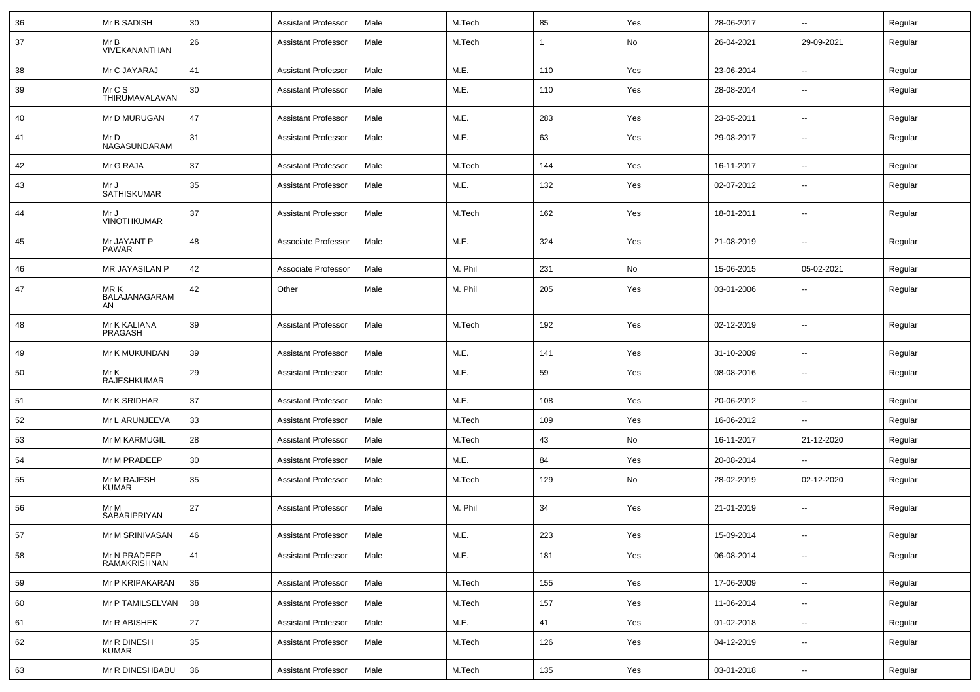| 36 | Mr B SADISH                  | 30     | <b>Assistant Professor</b> | Male | M.Tech  | 85           | Yes | 28-06-2017 | Ξ.                       | Regular |
|----|------------------------------|--------|----------------------------|------|---------|--------------|-----|------------|--------------------------|---------|
| 37 | Mr B<br>VIVEKANANTHAN        | 26     | <b>Assistant Professor</b> | Male | M.Tech  | $\mathbf{1}$ | No  | 26-04-2021 | 29-09-2021               | Regular |
| 38 | Mr C JAYARAJ                 | 41     | <b>Assistant Professor</b> | Male | M.E.    | 110          | Yes | 23-06-2014 | $\sim$                   | Regular |
| 39 | Mr C S<br>THIRUMAVALAVAN     | 30     | <b>Assistant Professor</b> | Male | M.E.    | 110          | Yes | 28-08-2014 | ⊷.                       | Regular |
| 40 | Mr D MURUGAN                 | 47     | <b>Assistant Professor</b> | Male | M.E.    | 283          | Yes | 23-05-2011 | Ξ.                       | Regular |
| 41 | Mr D<br>NAGASUNDARAM         | 31     | <b>Assistant Professor</b> | Male | M.E.    | 63           | Yes | 29-08-2017 | $\overline{\phantom{a}}$ | Regular |
| 42 | Mr G RAJA                    | 37     | <b>Assistant Professor</b> | Male | M.Tech  | 144          | Yes | 16-11-2017 | $\overline{\phantom{a}}$ | Regular |
| 43 | Mr J<br>SATHISKUMAR          | 35     | <b>Assistant Professor</b> | Male | M.E.    | 132          | Yes | 02-07-2012 | --                       | Regular |
| 44 | Mr J<br><b>VINOTHKUMAR</b>   | 37     | <b>Assistant Professor</b> | Male | M.Tech  | 162          | Yes | 18-01-2011 | $\overline{\phantom{a}}$ | Regular |
| 45 | Mr JAYANT P<br><b>PAWAR</b>  | 48     | Associate Professor        | Male | M.E.    | 324          | Yes | 21-08-2019 | -−                       | Regular |
| 46 | MR JAYASILAN P               | 42     | Associate Professor        | Male | M. Phil | 231          | No  | 15-06-2015 | 05-02-2021               | Regular |
| 47 | MR K<br>BALAJANAGARAM<br>AN  | 42     | Other                      | Male | M. Phil | 205          | Yes | 03-01-2006 |                          | Regular |
| 48 | Mr K KALIANA<br>PRAGASH      | 39     | <b>Assistant Professor</b> | Male | M.Tech  | 192          | Yes | 02-12-2019 | --                       | Regular |
| 49 | Mr K MUKUNDAN                | 39     | <b>Assistant Professor</b> | Male | M.E.    | 141          | Yes | 31-10-2009 | $\overline{\phantom{a}}$ | Regular |
| 50 | Mr K<br>RAJESHKUMAR          | 29     | <b>Assistant Professor</b> | Male | M.E.    | 59           | Yes | 08-08-2016 | $\overline{\phantom{a}}$ | Regular |
| 51 | Mr K SRIDHAR                 | 37     | <b>Assistant Professor</b> | Male | M.E.    | 108          | Yes | 20-06-2012 | $\overline{\phantom{a}}$ | Regular |
| 52 | Mr L ARUNJEEVA               | 33     | <b>Assistant Professor</b> | Male | M.Tech  | 109          | Yes | 16-06-2012 | $\sim$                   | Regular |
| 53 | Mr M KARMUGIL                | 28     | <b>Assistant Professor</b> | Male | M.Tech  | 43           | No  | 16-11-2017 | 21-12-2020               | Regular |
| 54 | Mr M PRADEEP                 | 30     | <b>Assistant Professor</b> | Male | M.E.    | 84           | Yes | 20-08-2014 | $\sim$                   | Regular |
| 55 | Mr M RAJESH<br><b>KUMAR</b>  | 35     | <b>Assistant Professor</b> | Male | M.Tech  | 129          | No  | 28-02-2019 | 02-12-2020               | Regular |
| 56 | Mr M<br>SABARIPRIYAN         | 27     | <b>Assistant Professor</b> | Male | M. Phil | 34           | Yes | 21-01-2019 | ⊷.                       | Regular |
| 57 | Mr M SRINIVASAN              | 46     | Assistant Professor        | Male | M.E.    | 223          | Yes | 15-09-2014 | ⊷.                       | Regular |
| 58 | Mr N PRADEEP<br>RAMAKRISHNAN | 41     | <b>Assistant Professor</b> | Male | M.E.    | 181          | Yes | 06-08-2014 | -−                       | Regular |
| 59 | Mr P KRIPAKARAN              | 36     | <b>Assistant Professor</b> | Male | M.Tech  | 155          | Yes | 17-06-2009 | $\sim$                   | Regular |
| 60 | Mr P TAMILSELVAN             | 38     | <b>Assistant Professor</b> | Male | M.Tech  | 157          | Yes | 11-06-2014 | Ξ.                       | Regular |
| 61 | Mr R ABISHEK                 | 27     | <b>Assistant Professor</b> | Male | M.E.    | 41           | Yes | 01-02-2018 | $\overline{\phantom{a}}$ | Regular |
| 62 | Mr R DINESH<br>KUMAR         | 35     | <b>Assistant Professor</b> | Male | M.Tech  | 126          | Yes | 04-12-2019 | $\sim$                   | Regular |
| 63 | Mr R DINESHBABU              | $36\,$ | <b>Assistant Professor</b> | Male | M.Tech  | 135          | Yes | 03-01-2018 | ₩,                       | Regular |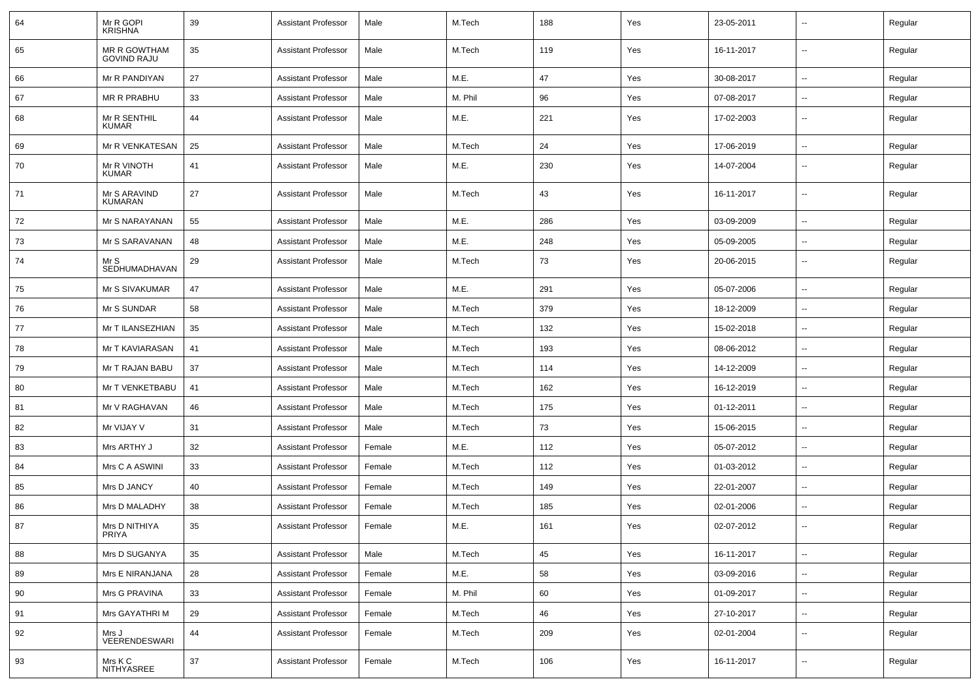| 64 | Mr R GOPI<br><b>KRISHNA</b>        | 39 | <b>Assistant Professor</b> | Male   | M.Tech  | 188 | Yes | 23-05-2011 | --                       | Regular |
|----|------------------------------------|----|----------------------------|--------|---------|-----|-----|------------|--------------------------|---------|
| 65 | MR R GOWTHAM<br><b>GOVIND RAJU</b> | 35 | <b>Assistant Professor</b> | Male   | M.Tech  | 119 | Yes | 16-11-2017 | $\sim$                   | Regular |
| 66 | Mr R PANDIYAN                      | 27 | <b>Assistant Professor</b> | Male   | M.E.    | 47  | Yes | 30-08-2017 | $\overline{\phantom{a}}$ | Regular |
| 67 | MR R PRABHU                        | 33 | <b>Assistant Professor</b> | Male   | M. Phil | 96  | Yes | 07-08-2017 | ۰.                       | Regular |
| 68 | Mr R SENTHIL<br><b>KUMAR</b>       | 44 | <b>Assistant Professor</b> | Male   | M.E.    | 221 | Yes | 17-02-2003 | --                       | Regular |
| 69 | Mr R VENKATESAN                    | 25 | <b>Assistant Professor</b> | Male   | M.Tech  | 24  | Yes | 17-06-2019 | $\sim$                   | Regular |
| 70 | Mr R VINOTH<br><b>KUMAR</b>        | 41 | <b>Assistant Professor</b> | Male   | M.E.    | 230 | Yes | 14-07-2004 | --                       | Regular |
| 71 | Mr S ARAVIND<br><b>KUMARAN</b>     | 27 | <b>Assistant Professor</b> | Male   | M.Tech  | 43  | Yes | 16-11-2017 | --                       | Regular |
| 72 | Mr S NARAYANAN                     | 55 | <b>Assistant Professor</b> | Male   | M.E.    | 286 | Yes | 03-09-2009 | $\overline{\phantom{a}}$ | Regular |
| 73 | Mr S SARAVANAN                     | 48 | <b>Assistant Professor</b> | Male   | M.E.    | 248 | Yes | 05-09-2005 | --                       | Regular |
| 74 | Mr S<br>SEDHUMADHAVAN              | 29 | <b>Assistant Professor</b> | Male   | M.Tech  | 73  | Yes | 20-06-2015 | $\sim$                   | Regular |
| 75 | Mr S SIVAKUMAR                     | 47 | <b>Assistant Professor</b> | Male   | M.E.    | 291 | Yes | 05-07-2006 | $\sim$                   | Regular |
| 76 | Mr S SUNDAR                        | 58 | <b>Assistant Professor</b> | Male   | M.Tech  | 379 | Yes | 18-12-2009 | $\overline{\phantom{a}}$ | Regular |
| 77 | Mr T ILANSEZHIAN                   | 35 | <b>Assistant Professor</b> | Male   | M.Tech  | 132 | Yes | 15-02-2018 | --                       | Regular |
| 78 | Mr T KAVIARASAN                    | 41 | <b>Assistant Professor</b> | Male   | M.Tech  | 193 | Yes | 08-06-2012 |                          | Regular |
| 79 | Mr T RAJAN BABU                    | 37 | <b>Assistant Professor</b> | Male   | M.Tech  | 114 | Yes | 14-12-2009 | $\overline{\phantom{a}}$ | Regular |
| 80 | Mr T VENKETBABU                    | 41 | <b>Assistant Professor</b> | Male   | M.Tech  | 162 | Yes | 16-12-2019 | --                       | Regular |
| 81 | Mr V RAGHAVAN                      | 46 | <b>Assistant Professor</b> | Male   | M.Tech  | 175 | Yes | 01-12-2011 | $\sim$                   | Regular |
| 82 | Mr VIJAY V                         | 31 | <b>Assistant Professor</b> | Male   | M.Tech  | 73  | Yes | 15-06-2015 | $\overline{\phantom{a}}$ | Regular |
| 83 | Mrs ARTHY J                        | 32 | <b>Assistant Professor</b> | Female | M.E.    | 112 | Yes | 05-07-2012 | ۰.                       | Regular |
| 84 | Mrs C A ASWINI                     | 33 | <b>Assistant Professor</b> | Female | M.Tech  | 112 | Yes | 01-03-2012 |                          | Regular |
| 85 | Mrs D JANCY                        | 40 | <b>Assistant Professor</b> | Female | M.Tech  | 149 | Yes | 22-01-2007 | $\overline{\phantom{a}}$ | Regular |
| 86 | Mrs D MALADHY                      | 38 | <b>Assistant Professor</b> | Female | M.Tech  | 185 | Yes | 02-01-2006 | --                       | Regular |
| 87 | Mrs D NITHIYA<br>PRIYA             | 35 | <b>Assistant Professor</b> | Female | M.E.    | 161 | Yes | 02-07-2012 |                          | Regular |
| 88 | Mrs D SUGANYA                      | 35 | <b>Assistant Professor</b> | Male   | M.Tech  | 45  | Yes | 16-11-2017 | $\overline{\phantom{a}}$ | Regular |
| 89 | Mrs E NIRANJANA                    | 28 | <b>Assistant Professor</b> | Female | M.E.    | 58  | Yes | 03-09-2016 | $\overline{\phantom{a}}$ | Regular |
| 90 | Mrs G PRAVINA                      | 33 | <b>Assistant Professor</b> | Female | M. Phil | 60  | Yes | 01-09-2017 | $\sim$                   | Regular |
| 91 | Mrs GAYATHRI M                     | 29 | <b>Assistant Professor</b> | Female | M.Tech  | 46  | Yes | 27-10-2017 | $\overline{\phantom{a}}$ | Regular |
| 92 | Mrs J<br>VEERENDESWARI             | 44 | <b>Assistant Professor</b> | Female | M.Tech  | 209 | Yes | 02-01-2004 | $\overline{\phantom{a}}$ | Regular |
| 93 | Mrs K C<br><b>NITHYASREE</b>       | 37 | <b>Assistant Professor</b> | Female | M.Tech  | 106 | Yes | 16-11-2017 | $\overline{\phantom{a}}$ | Regular |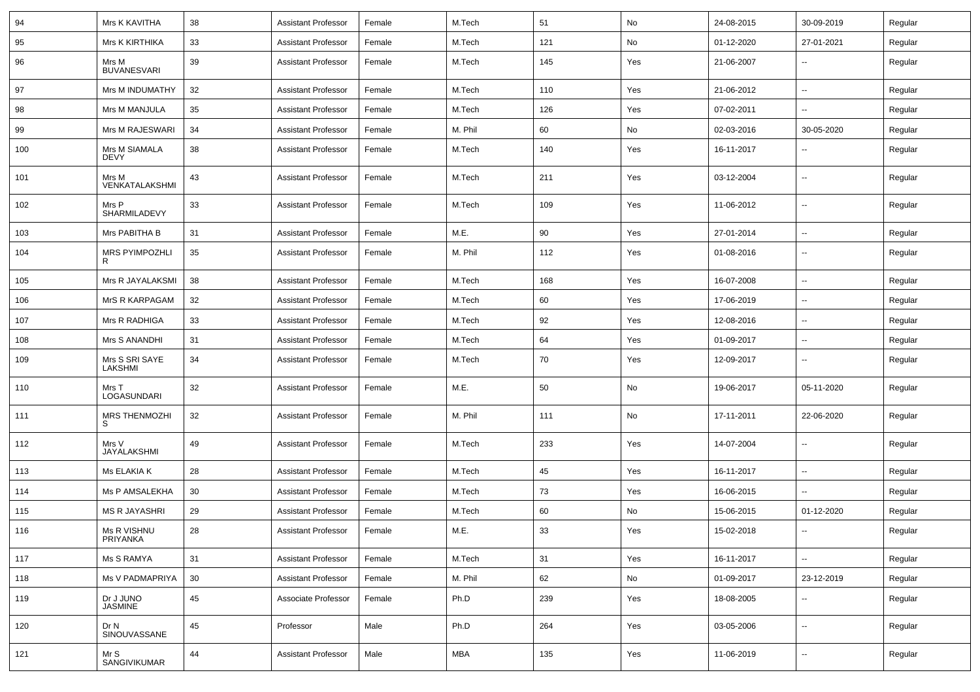| 94  | Mrs K KAVITHA                | 38 | <b>Assistant Professor</b> | Female | M.Tech  | 51  | No  | 24-08-2015 | 30-09-2019               | Regular |
|-----|------------------------------|----|----------------------------|--------|---------|-----|-----|------------|--------------------------|---------|
| 95  | Mrs K KIRTHIKA               | 33 | <b>Assistant Professor</b> | Female | M.Tech  | 121 | No  | 01-12-2020 | 27-01-2021               | Regular |
| 96  | Mrs M<br><b>BUVANESVARI</b>  | 39 | <b>Assistant Professor</b> | Female | M.Tech  | 145 | Yes | 21-06-2007 | -−                       | Regular |
| 97  | Mrs M INDUMATHY              | 32 | <b>Assistant Professor</b> | Female | M.Tech  | 110 | Yes | 21-06-2012 | -−                       | Regular |
| 98  | Mrs M MANJULA                | 35 | <b>Assistant Professor</b> | Female | M.Tech  | 126 | Yes | 07-02-2011 | --                       | Regular |
| 99  | Mrs M RAJESWARI              | 34 | <b>Assistant Professor</b> | Female | M. Phil | 60  | No  | 02-03-2016 | 30-05-2020               | Regular |
| 100 | Mrs M SIAMALA<br><b>DEVY</b> | 38 | <b>Assistant Professor</b> | Female | M.Tech  | 140 | Yes | 16-11-2017 | --                       | Regular |
| 101 | Mrs M<br>VENKATALAKSHMI      | 43 | <b>Assistant Professor</b> | Female | M.Tech  | 211 | Yes | 03-12-2004 | Ξ.                       | Regular |
| 102 | Mrs P<br>SHARMILADEVY        | 33 | <b>Assistant Professor</b> | Female | M.Tech  | 109 | Yes | 11-06-2012 | $\sim$                   | Regular |
| 103 | Mrs PABITHA B                | 31 | <b>Assistant Professor</b> | Female | M.E.    | 90  | Yes | 27-01-2014 | $\overline{\phantom{a}}$ | Regular |
| 104 | <b>MRS PYIMPOZHLI</b>        | 35 | <b>Assistant Professor</b> | Female | M. Phil | 112 | Yes | 01-08-2016 | $\overline{\phantom{a}}$ | Regular |
| 105 | Mrs R JAYALAKSMI             | 38 | <b>Assistant Professor</b> | Female | M.Tech  | 168 | Yes | 16-07-2008 | $\sim$                   | Regular |
| 106 | MrS R KARPAGAM               | 32 | <b>Assistant Professor</b> | Female | M.Tech  | 60  | Yes | 17-06-2019 | --                       | Regular |
| 107 | Mrs R RADHIGA                | 33 | <b>Assistant Professor</b> | Female | M.Tech  | 92  | Yes | 12-08-2016 | ⊷.                       | Regular |
| 108 | Mrs S ANANDHI                | 31 | <b>Assistant Professor</b> | Female | M.Tech  | 64  | Yes | 01-09-2017 | --                       | Regular |
| 109 | Mrs S SRI SAYE<br>LAKSHMI    | 34 | <b>Assistant Professor</b> | Female | M.Tech  | 70  | Yes | 12-09-2017 | --                       | Regular |
| 110 | Mrs T<br>LOGASUNDARI         | 32 | <b>Assistant Professor</b> | Female | M.E.    | 50  | No  | 19-06-2017 | 05-11-2020               | Regular |
| 111 | <b>MRS THENMOZHI</b><br>S    | 32 | <b>Assistant Professor</b> | Female | M. Phil | 111 | No  | 17-11-2011 | 22-06-2020               | Regular |
| 112 | Mrs V<br>JAYALAKSHMI         | 49 | <b>Assistant Professor</b> | Female | M.Tech  | 233 | Yes | 14-07-2004 | --                       | Regular |
| 113 | Ms ELAKIA K                  | 28 | <b>Assistant Professor</b> | Female | M.Tech  | 45  | Yes | 16-11-2017 | -−                       | Regular |
| 114 | Ms P AMSALEKHA               | 30 | <b>Assistant Professor</b> | Female | M.Tech  | 73  | Yes | 16-06-2015 | $\overline{a}$           | Regular |
| 115 | <b>MS R JAYASHRI</b>         | 29 | <b>Assistant Professor</b> | Female | M.Tech  | 60  | No  | 15-06-2015 | 01-12-2020               | Regular |
| 116 | Ms R VISHNU<br>PRIYANKA      | 28 | <b>Assistant Professor</b> | Female | M.E.    | 33  | Yes | 15-02-2018 | $\overline{\phantom{a}}$ | Regular |
| 117 | Ms S RAMYA                   | 31 | <b>Assistant Professor</b> | Female | M.Tech  | 31  | Yes | 16-11-2017 | $\overline{\phantom{a}}$ | Regular |
| 118 | Ms V PADMAPRIYA              | 30 | <b>Assistant Professor</b> | Female | M. Phil | 62  | No  | 01-09-2017 | 23-12-2019               | Regular |
| 119 | Dr J JUNO<br>JASMINE         | 45 | Associate Professor        | Female | Ph.D    | 239 | Yes | 18-08-2005 | н.                       | Regular |
| 120 | Dr N<br>SINOUVASSANE         | 45 | Professor                  | Male   | Ph.D    | 264 | Yes | 03-05-2006 | $\overline{\phantom{a}}$ | Regular |
| 121 | Mr S<br><b>SANGIVIKUMAR</b>  | 44 | <b>Assistant Professor</b> | Male   | MBA     | 135 | Yes | 11-06-2019 | н.                       | Regular |